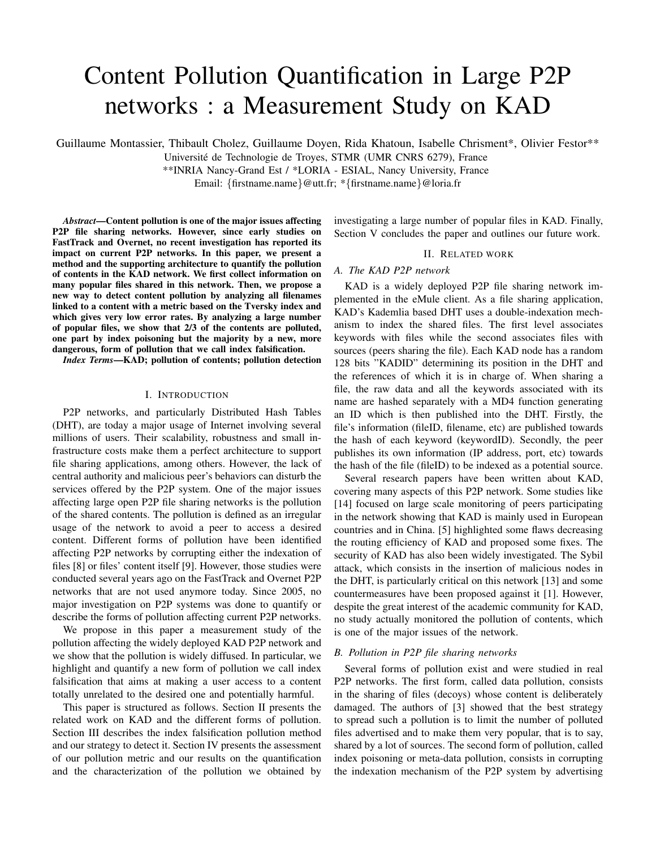# Content Pollution Quantification in Large P2P networks : a Measurement Study on KAD

Guillaume Montassier, Thibault Cholez, Guillaume Doyen, Rida Khatoun, Isabelle Chrisment\*, Olivier Festor\*\*

Universite de Technologie de Troyes, STMR (UMR CNRS 6279), France ´

\*\*INRIA Nancy-Grand Est / \*LORIA - ESIAL, Nancy University, France

Email: {firstname.name}@utt.fr; \*{firstname.name}@loria.fr

*Abstract*—Content pollution is one of the major issues affecting P2P file sharing networks. However, since early studies on FastTrack and Overnet, no recent investigation has reported its impact on current P2P networks. In this paper, we present a method and the supporting architecture to quantify the pollution of contents in the KAD network. We first collect information on many popular files shared in this network. Then, we propose a new way to detect content pollution by analyzing all filenames linked to a content with a metric based on the Tversky index and which gives very low error rates. By analyzing a large number of popular files, we show that 2/3 of the contents are polluted, one part by index poisoning but the majority by a new, more dangerous, form of pollution that we call index falsification.

*Index Terms*—KAD; pollution of contents; pollution detection

## I. INTRODUCTION

P2P networks, and particularly Distributed Hash Tables (DHT), are today a major usage of Internet involving several millions of users. Their scalability, robustness and small infrastructure costs make them a perfect architecture to support file sharing applications, among others. However, the lack of central authority and malicious peer's behaviors can disturb the services offered by the P2P system. One of the major issues affecting large open P2P file sharing networks is the pollution of the shared contents. The pollution is defined as an irregular usage of the network to avoid a peer to access a desired content. Different forms of pollution have been identified affecting P2P networks by corrupting either the indexation of files [8] or files' content itself [9]. However, those studies were conducted several years ago on the FastTrack and Overnet P2P networks that are not used anymore today. Since 2005, no major investigation on P2P systems was done to quantify or describe the forms of pollution affecting current P2P networks.

We propose in this paper a measurement study of the pollution affecting the widely deployed KAD P2P network and we show that the pollution is widely diffused. In particular, we highlight and quantify a new form of pollution we call index falsification that aims at making a user access to a content totally unrelated to the desired one and potentially harmful.

This paper is structured as follows. Section II presents the related work on KAD and the different forms of pollution. Section III describes the index falsification pollution method and our strategy to detect it. Section IV presents the assessment of our pollution metric and our results on the quantification and the characterization of the pollution we obtained by investigating a large number of popular files in KAD. Finally, Section V concludes the paper and outlines our future work.

## II. RELATED WORK

## *A. The KAD P2P network*

KAD is a widely deployed P2P file sharing network implemented in the eMule client. As a file sharing application, KAD's Kademlia based DHT uses a double-indexation mechanism to index the shared files. The first level associates keywords with files while the second associates files with sources (peers sharing the file). Each KAD node has a random 128 bits "KADID" determining its position in the DHT and the references of which it is in charge of. When sharing a file, the raw data and all the keywords associated with its name are hashed separately with a MD4 function generating an ID which is then published into the DHT. Firstly, the file's information (fileID, filename, etc) are published towards the hash of each keyword (keywordID). Secondly, the peer publishes its own information (IP address, port, etc) towards the hash of the file (fileID) to be indexed as a potential source.

Several research papers have been written about KAD, covering many aspects of this P2P network. Some studies like [14] focused on large scale monitoring of peers participating in the network showing that KAD is mainly used in European countries and in China. [5] highlighted some flaws decreasing the routing efficiency of KAD and proposed some fixes. The security of KAD has also been widely investigated. The Sybil attack, which consists in the insertion of malicious nodes in the DHT, is particularly critical on this network [13] and some countermeasures have been proposed against it [1]. However, despite the great interest of the academic community for KAD, no study actually monitored the pollution of contents, which is one of the major issues of the network.

## *B. Pollution in P2P file sharing networks*

Several forms of pollution exist and were studied in real P2P networks. The first form, called data pollution, consists in the sharing of files (decoys) whose content is deliberately damaged. The authors of [3] showed that the best strategy to spread such a pollution is to limit the number of polluted files advertised and to make them very popular, that is to say, shared by a lot of sources. The second form of pollution, called index poisoning or meta-data pollution, consists in corrupting the indexation mechanism of the P2P system by advertising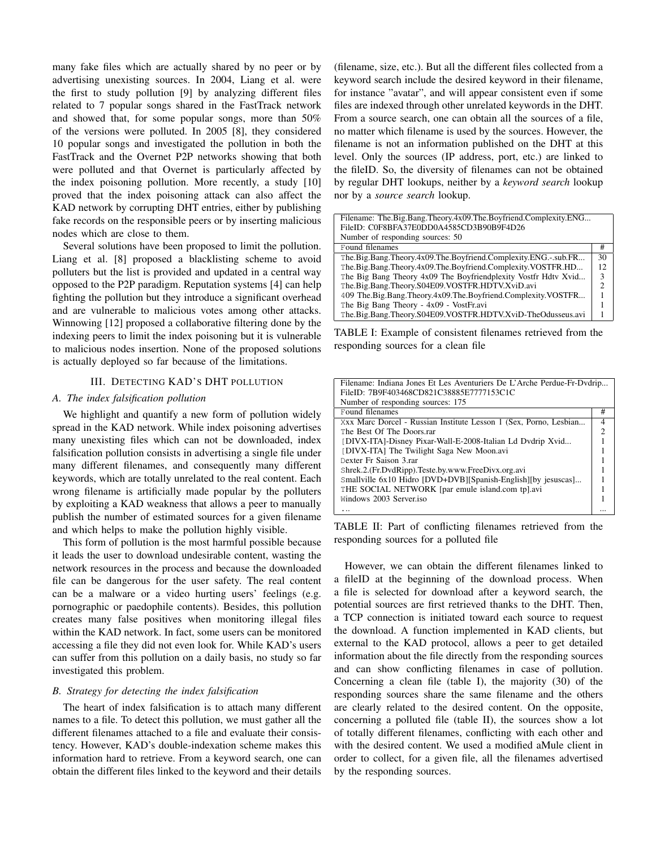many fake files which are actually shared by no peer or by advertising unexisting sources. In 2004, Liang et al. were the first to study pollution [9] by analyzing different files related to 7 popular songs shared in the FastTrack network and showed that, for some popular songs, more than 50% of the versions were polluted. In 2005 [8], they considered 10 popular songs and investigated the pollution in both the FastTrack and the Overnet P2P networks showing that both were polluted and that Overnet is particularly affected by the index poisoning pollution. More recently, a study [10] proved that the index poisoning attack can also affect the KAD network by corrupting DHT entries, either by publishing fake records on the responsible peers or by inserting malicious nodes which are close to them.

Several solutions have been proposed to limit the pollution. Liang et al. [8] proposed a blacklisting scheme to avoid polluters but the list is provided and updated in a central way opposed to the P2P paradigm. Reputation systems [4] can help fighting the pollution but they introduce a significant overhead and are vulnerable to malicious votes among other attacks. Winnowing [12] proposed a collaborative filtering done by the indexing peers to limit the index poisoning but it is vulnerable to malicious nodes insertion. None of the proposed solutions is actually deployed so far because of the limitations.

# III. DETECTING KAD'S DHT POLLUTION

## *A. The index falsification pollution*

We highlight and quantify a new form of pollution widely spread in the KAD network. While index poisoning advertises many unexisting files which can not be downloaded, index falsification pollution consists in advertising a single file under many different filenames, and consequently many different keywords, which are totally unrelated to the real content. Each wrong filename is artificially made popular by the polluters by exploiting a KAD weakness that allows a peer to manually publish the number of estimated sources for a given filename and which helps to make the pollution highly visible.

This form of pollution is the most harmful possible because it leads the user to download undesirable content, wasting the network resources in the process and because the downloaded file can be dangerous for the user safety. The real content can be a malware or a video hurting users' feelings (e.g. pornographic or paedophile contents). Besides, this pollution creates many false positives when monitoring illegal files within the KAD network. In fact, some users can be monitored accessing a file they did not even look for. While KAD's users can suffer from this pollution on a daily basis, no study so far investigated this problem.

# *B. Strategy for detecting the index falsification*

The heart of index falsification is to attach many different names to a file. To detect this pollution, we must gather all the different filenames attached to a file and evaluate their consistency. However, KAD's double-indexation scheme makes this information hard to retrieve. From a keyword search, one can obtain the different files linked to the keyword and their details (filename, size, etc.). But all the different files collected from a keyword search include the desired keyword in their filename, for instance "avatar", and will appear consistent even if some files are indexed through other unrelated keywords in the DHT. From a source search, one can obtain all the sources of a file, no matter which filename is used by the sources. However, the filename is not an information published on the DHT at this level. Only the sources (IP address, port, etc.) are linked to the fileID. So, the diversity of filenames can not be obtained by regular DHT lookups, neither by a *keyword search* lookup nor by a *source search* lookup.

| Filename: The.Big.Bang.Theory.4x09.The.Boyfriend.Complexity.ENG<br>FileID: C0F8BFA37E0DD0A4585CD3B90B9F4D26<br>Number of responding sources: 50<br>Found filenames<br>#<br>The Big Bang. Theory. 4x09. The Boyfriend. Complexity. ENG. - .sub. FR<br>30 |  |
|---------------------------------------------------------------------------------------------------------------------------------------------------------------------------------------------------------------------------------------------------------|--|
|                                                                                                                                                                                                                                                         |  |
|                                                                                                                                                                                                                                                         |  |
|                                                                                                                                                                                                                                                         |  |
|                                                                                                                                                                                                                                                         |  |
|                                                                                                                                                                                                                                                         |  |
| The.Big.Bang.Theory.4x09.The.Boyfriend.Complexity.VOSTFR.HD<br>12                                                                                                                                                                                       |  |
| The Big Bang Theory 4x09 The Boyfriendplexity Vostfr Hdtv Xvid<br>3                                                                                                                                                                                     |  |
| The.Big.Bang.Theory.S04E09.VOSTFR.HDTV.XviD.avi<br>2                                                                                                                                                                                                    |  |
| 409 The Big Bang Theory.4x09 The Boyfriend Complexity VOSTFR                                                                                                                                                                                            |  |
| The Big Bang Theory - 4x09 - VostFr.avi                                                                                                                                                                                                                 |  |
| The.Big.Bang.Theory.S04E09.VOSTFR.HDTV.XviD-TheOdusseus.avi                                                                                                                                                                                             |  |

TABLE I: Example of consistent filenames retrieved from the responding sources for a clean file

| Filename: Indiana Jones Et Les Aventuriers De L'Arche Perdue-Fr-Dydrip |                             |  |
|------------------------------------------------------------------------|-----------------------------|--|
| FileID: 7B9F403468CD821C38885E7777153C1C                               |                             |  |
| Number of responding sources: 175                                      |                             |  |
| Found filenames                                                        | #                           |  |
| XXX Marc Dorcel - Russian Institute Lesson 1 (Sex, Porno, Lesbian      | $\overline{4}$              |  |
| The Best Of The Doors.rar                                              | $\mathcal{D}_{\mathcal{A}}$ |  |
| [DIVX-ITA]-Disney Pixar-Wall-E-2008-Italian Ld Dvdrip Xvid             |                             |  |
| [DIVX-ITA] The Twilight Saga New Moon.avi                              |                             |  |
| Dexter Fr Saison 3.rar                                                 |                             |  |
| Shrek.2.(Fr.DvdRipp).Teste.by.www.FreeDivx.org.avi                     |                             |  |
| Smallville 6x10 Hidro [DVD+DVB][Spanish-English][by jesuscas]          |                             |  |
| THE SOCIAL NETWORK [par emule island.com tp].avi                       |                             |  |
| Windows 2003 Server.iso                                                |                             |  |
|                                                                        |                             |  |

TABLE II: Part of conflicting filenames retrieved from the responding sources for a polluted file

However, we can obtain the different filenames linked to a fileID at the beginning of the download process. When a file is selected for download after a keyword search, the potential sources are first retrieved thanks to the DHT. Then, a TCP connection is initiated toward each source to request the download. A function implemented in KAD clients, but external to the KAD protocol, allows a peer to get detailed information about the file directly from the responding sources and can show conflicting filenames in case of pollution. Concerning a clean file (table I), the majority (30) of the responding sources share the same filename and the others are clearly related to the desired content. On the opposite, concerning a polluted file (table II), the sources show a lot of totally different filenames, conflicting with each other and with the desired content. We used a modified aMule client in order to collect, for a given file, all the filenames advertised by the responding sources.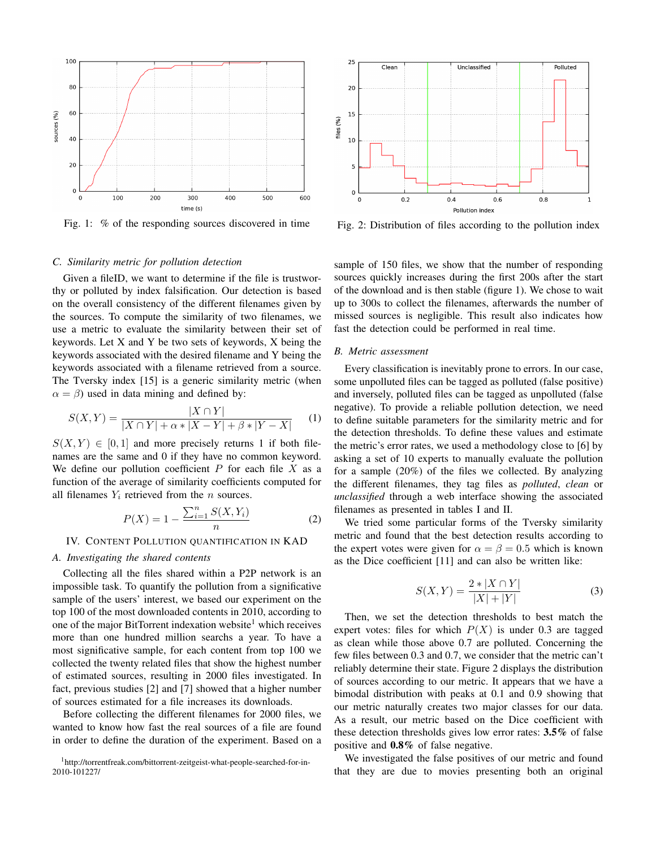

Fig. 1: % of the responding sources discovered in time

#### *C. Similarity metric for pollution detection*

Given a fileID, we want to determine if the file is trustworthy or polluted by index falsification. Our detection is based on the overall consistency of the different filenames given by the sources. To compute the similarity of two filenames, we use a metric to evaluate the similarity between their set of keywords. Let X and Y be two sets of keywords, X being the keywords associated with the desired filename and Y being the keywords associated with a filename retrieved from a source. The Tversky index [15] is a generic similarity metric (when  $\alpha = \beta$ ) used in data mining and defined by:

$$
S(X,Y) = \frac{|X \cap Y|}{|X \cap Y| + \alpha * |X - Y| + \beta * |Y - X|}
$$
 (1)

 $S(X, Y) \in [0, 1]$  and more precisely returns 1 if both filenames are the same and 0 if they have no common keyword. We define our pollution coefficient  $P$  for each file  $X$  as a function of the average of similarity coefficients computed for all filenames  $Y_i$  retrieved from the *n* sources.

$$
P(X) = 1 - \frac{\sum_{i=1}^{n} S(X, Y_i)}{n}
$$
 (2)

# IV. CONTENT POLLUTION QUANTIFICATION IN KAD

#### *A. Investigating the shared contents*

Collecting all the files shared within a P2P network is an impossible task. To quantify the pollution from a significative sample of the users' interest, we based our experiment on the top 100 of the most downloaded contents in 2010, according to one of the major BitTorrent indexation website<sup>1</sup> which receives more than one hundred million searchs a year. To have a most significative sample, for each content from top 100 we collected the twenty related files that show the highest number of estimated sources, resulting in 2000 files investigated. In fact, previous studies [2] and [7] showed that a higher number of sources estimated for a file increases its downloads.

Before collecting the different filenames for 2000 files, we wanted to know how fast the real sources of a file are found in order to define the duration of the experiment. Based on a



Fig. 2: Distribution of files according to the pollution index

sample of 150 files, we show that the number of responding sources quickly increases during the first 200s after the start of the download and is then stable (figure 1). We chose to wait up to 300s to collect the filenames, afterwards the number of missed sources is negligible. This result also indicates how fast the detection could be performed in real time.

## *B. Metric assessment*

Every classification is inevitably prone to errors. In our case, some unpolluted files can be tagged as polluted (false positive) and inversely, polluted files can be tagged as unpolluted (false negative). To provide a reliable pollution detection, we need to define suitable parameters for the similarity metric and for the detection thresholds. To define these values and estimate the metric's error rates, we used a methodology close to [6] by asking a set of 10 experts to manually evaluate the pollution for a sample (20%) of the files we collected. By analyzing the different filenames, they tag files as *polluted*, *clean* or *unclassified* through a web interface showing the associated filenames as presented in tables I and II.

We tried some particular forms of the Tversky similarity metric and found that the best detection results according to the expert votes were given for  $\alpha = \beta = 0.5$  which is known as the Dice coefficient [11] and can also be written like:

$$
S(X,Y) = \frac{2 * |X \cap Y|}{|X| + |Y|}
$$
 (3)

Then, we set the detection thresholds to best match the expert votes: files for which  $P(X)$  is under 0.3 are tagged as clean while those above 0.7 are polluted. Concerning the few files between 0.3 and 0.7, we consider that the metric can't reliably determine their state. Figure 2 displays the distribution of sources according to our metric. It appears that we have a bimodal distribution with peaks at 0.1 and 0.9 showing that our metric naturally creates two major classes for our data. As a result, our metric based on the Dice coefficient with these detection thresholds gives low error rates: 3.5% of false positive and 0.8% of false negative.

We investigated the false positives of our metric and found that they are due to movies presenting both an original

<sup>1</sup>http://torrentfreak.com/bittorrent-zeitgeist-what-people-searched-for-in-2010-101227/